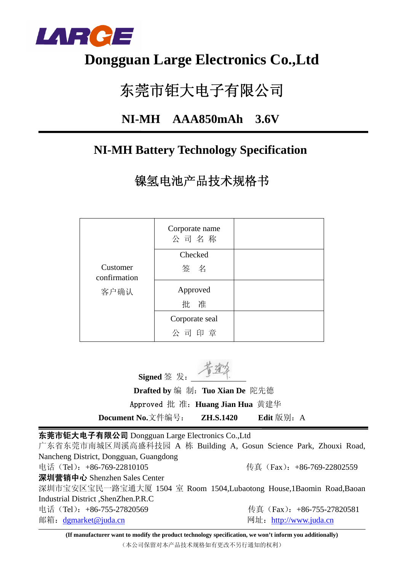

## **Dongguan Large Electronics Co.,Ltd**

# 东莞市钜大电子有限公司

### **NI-MH AAA850mAh 3.6V**

### **NI-MH Battery Technology Specification**

镍氢电池产品技术规格书

|                          | Corporate name<br>公司名称 |  |
|--------------------------|------------------------|--|
|                          | Checked                |  |
| Customer<br>confirmation | 签名                     |  |
| 客户确认                     | Approved               |  |
|                          | 批 准                    |  |
|                          | Corporate seal         |  |
|                          | 公司印章                   |  |

**Signed** 签 发:

 **Drafted by** 编 制:**Tuo Xian De** 陀先德 Approved 批 准:**Huang Jian Hua** 黄建华

**Document No.**文件编号: **ZH.S.1420** Edit 版别: A

东莞市钜大电子有限公司 Dongguan Large Electronics Co.,Ltd

广东省东莞市南城区周溪高盛科技园 A 栋 Building A, Gosun Science Park, Zhouxi Road, Nancheng District, Dongguan, Guangdong 电话(Tel):+86-769-22810105 传真(Fax):+86-769-22802559 深圳营销中心 Shenzhen Sales Center 深圳市宝安区宝民一路宝通大厦 1504 室 Room 1504,Lubaotong House,1Baomin Road,Baoan Industrial District ,ShenZhen.P.R.C 电话(Tel): +86-755-27820569 传真(Fax): +86-755-27820581 邮箱:dgmarket@juda.cn 网址:http://www.juda.cn

**(If manufacturer want to modify the product technology specification, we won't inform you additionally)** (本公司保留对本产品技术规格如有更改不另行通知的权利)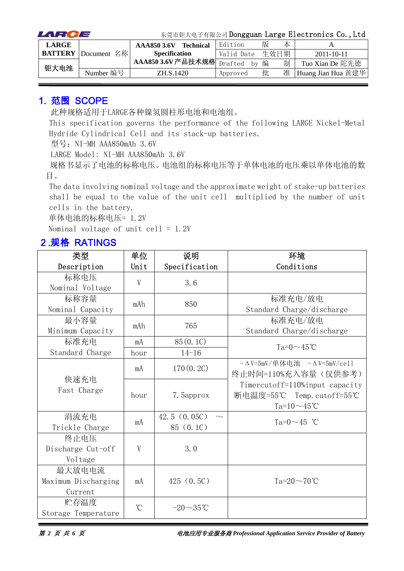| LARCE        |                            | 东莞市钜大电子有限公司 Dongguan Large Electronics Co., Ltd |  |            |      |   |                    |
|--------------|----------------------------|-------------------------------------------------|--|------------|------|---|--------------------|
| <b>LARGE</b> |                            | <b>Technical</b><br>AAA850 3.6V                 |  | Edition    | 版    | 本 |                    |
|              | <b>BATTERY</b> Document 名称 | <b>Specification</b>                            |  | Valid Date | 生效日期 |   | $2011 - 10 - 11$   |
| 钜大电池         |                            | □ AAA850 3.6V产品技术规格 Drafted                     |  | hv         | 编    | 制 | Tuo Xian De 陀先德    |
|              | Number 编号                  | ZH.S.1420                                       |  | Approved   | 批    | 准 | Huang Jian Hua 黄建华 |

#### 1. 范围 SCOPE

此种规格适用于LARGE各种镍氢圆柱形电池和电池组。

This specification governs the performance of the following LARGE Nickel-Metal Hydride Cylindrical Cell and its stack-up batteries.

型号: NI-MH AAA850mAh 3.6V

LARGE Model: NI-MH AAA850mAh 3.6V

规格书显示了电池的标称电压。电池组的标称电压等于单体电池的电压乘以单体电池的数 目。

The data involving nominal voltage and the approximate weight of stake-up batteries shall be equal to the value of the unit cell multiplied by the number of unit cells in the battery.

单体电池的标称电压= 1.2V

Nominal voltage of unit cell =  $1.2V$ 

#### 2.规格 RATINGS

| 类型                  | 单位              | 说明             | 环境                                        |
|---------------------|-----------------|----------------|-------------------------------------------|
| Description         | Unit            | Specification  | Conditions                                |
| 标称电压                | V               | 3.6            |                                           |
| Nominal Voltage     |                 |                |                                           |
| 标称容量                | mAh             | 850            | 标准充电/放电                                   |
| Nominal Capacity    |                 |                | Standard Charge/discharge                 |
| 最小容量                | mAh             | 765            | 标准充电/放电                                   |
| Minimum Capacity    |                 |                | Standard Charge/discharge                 |
| 标准充电                | mA              | 85 (0.1C)      | $Ta=0 \sim 45^{\circ}$ C                  |
| Standard Charge     | hour            | $14 - 16$      |                                           |
|                     | mA              | 170(0, 2C)     | $-\Delta$ V=5mV/单体电池 $-\Delta$ V=5mV/ce11 |
| 快速充电                |                 |                | 终止时间=110%充入容量(仅供参考)                       |
| Fast Charge         |                 |                | Timercutoff=110%input capacity            |
|                     | hour            | 7. Sapprox     | 断电温度=55℃ Temp.cutoff=55℃                  |
|                     |                 |                | Ta= $10 \sim 45$ °C                       |
| 涓流充电                | mA              | 42.5(0.05C)    | Ta= $0 \sim 45$ °C                        |
| Trickle Charge      |                 | 85 (0.1C)      |                                           |
| 终止电压                |                 |                |                                           |
| Discharge Cut-off   | V               | 3.0            |                                           |
| Voltage             |                 |                |                                           |
| 最大放电电流              |                 |                |                                           |
| Maximum Discharging | mA              | 425(0.5C)      | Ta= $20\sim70^{\circ}$ C                  |
| Current             |                 |                |                                           |
| 贮存温度                | $\rm ^{\circ}C$ | $-20\sim35$ °C |                                           |
| Storage Temperature |                 |                |                                           |

第 *2* 页 共 *6* 页电池应用专业服务商 *Professional Application Service Provider of Battery*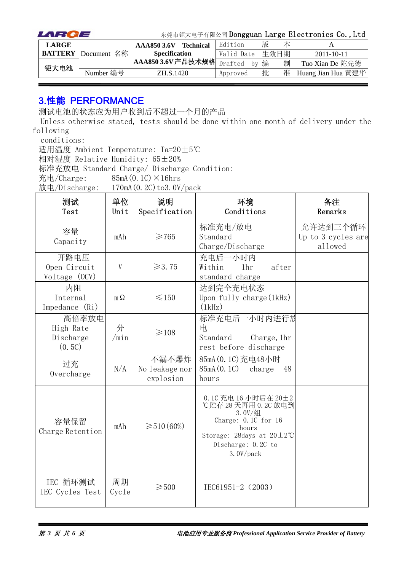| LARCE        |                            | 东莞市钜大电子有限公司 Dongguan Large Electronics Co., Ltd |                  |            |      |   |                    |
|--------------|----------------------------|-------------------------------------------------|------------------|------------|------|---|--------------------|
| <b>LARGE</b> |                            | AAA850 3.6V                                     | <b>Technical</b> | Edition    | 版    | 本 |                    |
|              | <b>BATTERY</b> Document 名称 | <b>Specification</b>                            |                  | Valid Date | 生效日期 |   | $2011 - 10 - 11$   |
| 钜大电池         |                            | 1 AAA850 3.6V产品技术规格 Drafted                     |                  | by         | 编    | 制 | Tuo Xian De 陀先德    |
|              | Number 编号                  | ZH.S.1420                                       |                  | Approved   | 批    | 准 | Huang Jian Hua 黄建华 |

#### 3.性能 PERFORMANCE

测试电池的状态应为用户收到后不超过一个月的产品

Unless otherwise stated, tests should be done within one month of delivery under the following

conditions:

适用温度 Ambient Temperature: Ta=20±5℃

相对湿度 Relative Humidity: 65±20%

标准充放电 Standard Charge/ Discharge Condition:

充电/Charge:  $85mA(0.1C) \times 16hrs$ 

放电/Discharge:  $170mA(0.2C)$  to 3.0V/pack

| 测试<br>Test                                | 单位<br>Unit  | 说明<br>Specification                  | 环境<br>Conditions                                                                                                                                                           | 备注<br>Remarks                             |
|-------------------------------------------|-------------|--------------------------------------|----------------------------------------------------------------------------------------------------------------------------------------------------------------------------|-------------------------------------------|
| 容量<br>Capacity                            | mAh         | $\geq 765$                           | 标准充电/放电<br>Standard<br>charge/Discharge                                                                                                                                    | 允许达到三个循环<br>Up to 3 cycles are<br>allowed |
| 开路电压<br>Open Circuit<br>Voltage (OCV)     | V           | $\geq 3.75$                          | 充电后一小时内<br>1 <sub>hr</sub><br>after<br>Within<br>standard charge                                                                                                           |                                           |
| 内阻<br>Internal<br>Impedance (Ri)          | $m\Omega$   | $\leq 150$                           | 达到完全充电状态<br>Upon fully charge (1kHz)<br>(1kHz)                                                                                                                             |                                           |
| 高倍率放电<br>High Rate<br>Discharge<br>(0.5C) | 分<br>/min   | $\geq 108$                           | 标准充电后一小时内进行放<br>电<br>Standard<br>Charge, 1hr<br>rest before discharge                                                                                                      |                                           |
| 过充<br>Overcharge                          | N/A         | 不漏不爆炸<br>No leakage nor<br>explosion | 85mA (0.1C) 充电48小时<br>85mA (0.1C)<br>charge<br>48<br>hours                                                                                                                 |                                           |
| 容量保留<br>Charge Retention                  | mAh         | $\geq 510(60\%)$                     | 0.1C 充电 16 小时后在 20±2<br>℃贮存 28 天再用 0.2C 放电到<br>$3.0V/$ 组<br>Charge: $0.1C$ for $16$<br>hours<br>Storage: 28days at $20 \pm 2^{\circ}$ C<br>Discharge: 0.2C to<br>3.0V/pack |                                           |
| IEC 循环测试<br>IEC Cycles Test               | 周期<br>Cycle | $\geqslant$ 500                      | IEC61951-2 (2003)                                                                                                                                                          |                                           |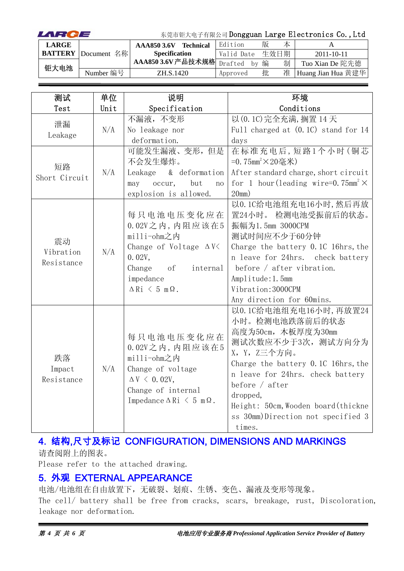| LARCE        |                            | 东莞市钜大电子有限公司 Dongguan Large Electronics Co., Ltd |                  |               |      |   |                    |
|--------------|----------------------------|-------------------------------------------------|------------------|---------------|------|---|--------------------|
| <b>LARGE</b> |                            | AAA8503.6V                                      | <b>Technical</b> | Edition       | 版    | 本 |                    |
|              | <b>BATTERY</b> Document 名称 | <b>Specification</b>                            |                  | Valid Date    | 生效日期 |   | $2011 - 10 - 11$   |
| 钜大电池         |                            | AAA850 3.6V 产品技术规格                              |                  | Drafted<br>hv | 编    | 制 | Tuo Xian De 陀先德    |
|              | Number 编号                  | ZH.S.1420                                       |                  | Approved      | 批    | 准 | Huang Jian Hua 黄建华 |

| 测试                            | 单位   | 说明                                                                                                                                                                      | 环境                                                                                                                                                                                                                                                                                                  |
|-------------------------------|------|-------------------------------------------------------------------------------------------------------------------------------------------------------------------------|-----------------------------------------------------------------------------------------------------------------------------------------------------------------------------------------------------------------------------------------------------------------------------------------------------|
| Test                          | Unit | Specification                                                                                                                                                           | Conditions                                                                                                                                                                                                                                                                                          |
| 泄漏<br>Leakage                 | N/A  | 不漏液,不变形<br>No leakage nor                                                                                                                                               | 以 (0.1C) 完全充满, 搁置 14 天<br>Full charged at (0.1C) stand for 14                                                                                                                                                                                                                                       |
|                               |      | deformation.                                                                                                                                                            | days                                                                                                                                                                                                                                                                                                |
| 短路<br>Short Circuit           | N/A  | 可能发生漏液、变形,但是<br>不会发生爆炸。<br>& deformation<br>Leakage<br>but<br>occur,<br>may<br>no                                                                                       | 在标准充电后,短路1个小时(铜芯<br>=0.75mm <sup>2</sup> ×20毫米)<br>After standard charge, short circuit<br>for 1 hour (leading wire=0.75mm <sup>2</sup> $\times$                                                                                                                                                    |
|                               |      | explosion is allowed.                                                                                                                                                   | 20mm)                                                                                                                                                                                                                                                                                               |
| 震动<br>Vibration<br>Resistance | N/A  | 每只电池电压变化应在<br>$0.02V$ 之内, 内阻应该在5<br>milli-ohm之内<br>Change of Voltage $\Delta V$<br>0.02V,<br>Change<br>of<br>internal<br>impedance<br>$\Delta$ Ri $\leq$ 5 m $\Omega$ . | 以0.1C给电池组充电16小时,然后再放<br>置24小时。 检测电池受振前后的状态。<br>振幅为1.5mm 3000CPM<br>测试时间应不少于60分钟<br>Charge the battery 0.1C 16hrs, the<br>n leave for 24hrs. check battery<br>before $/$ after vibration.<br>Amplitude: 1.5mm<br>Vibration: 3000CPM<br>Any direction for 60mins.                                     |
| 跌落<br>Impact<br>Resistance    | N/A  | 每只电池电压变化应在<br>$0.02V$ 之内, 内阻应该在5<br>milli-ohm之内<br>Change of voltage<br>$\Delta V \leq 0.02V$ ,<br>Change of internal<br>Impedance $\Delta$ Ri $\leq$ 5 m $\Omega$ .    | 以0.1C给电池组充电16小时,再放置24<br>小时。检测电池跌落前后的状态<br>高度为50cm, 木板厚度为30mm<br>测试次数应不少于3次, 测试方向分为<br>X, Y, Z三个方向。<br>Charge the battery 0.1C 16hrs, the<br>n leave for 24hrs. check battery<br>before $/$ after<br>dropped,<br>Height: 50cm, Wooden board (thickne<br>ss 30mm)Direction not specified 3<br>times. |

### 4. 结构,尺寸及标记 CONFIGURATION, DIMENSIONS AND MARKINGS

请查阅附上的图表。

Please refer to the attached drawing.

#### 5. 外观 EXTERNAL APPEARANCE

电池/电池组在自由放置下,无破裂、划痕、生锈、变色、漏液及变形等现象。 The cell/ battery shall be free from cracks, scars, breakage, rust, Discoloration, leakage nor deformation.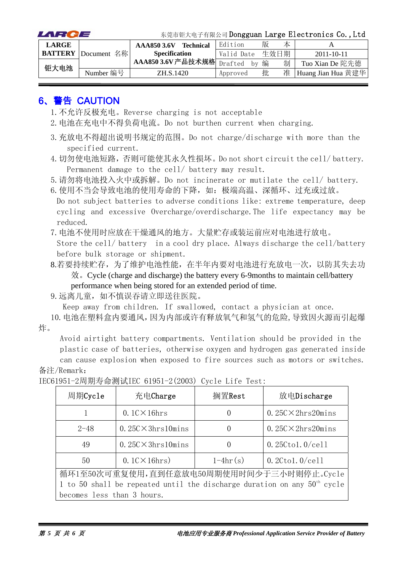| LARCE        |                            |                           |            |   |      | 东莞市钜大电子有限公司 Dongguan Large Electronics Co., Ltd |
|--------------|----------------------------|---------------------------|------------|---|------|-------------------------------------------------|
| <b>LARGE</b> |                            | AAA850 3.6V Technical     | Edition    | 版 | 本    |                                                 |
|              | <b>BATTERY</b> Document 名称 | <b>Specification</b>      | Valid Date |   | 生效日期 | $2011 - 10 - 11$                                |
| 钜大电池         |                            | AAA850 3.6V产品技术规格 Drafted | bv         | 编 | 制    | Tuo Xian De 陀先德                                 |
|              | Number 编号                  | ZH.S.1420                 | Approved   | 批 | 准    | Huang Jian Hua 黄建华                              |

#### 6、警告 CAUTION

- 1.不允许反极充电。Reverse charging is not acceptable
- 2.电池在充电中不得负荷电流。Do not burthen current when charging.
- 3.充放电不得超出说明书规定的范围。Do not charge/discharge with more than the specified current.
- 4.切勿使电池短路,否则可能使其永久性损坏。Do not short circuit the cell/ battery. Permanent damage to the cell/ battery may result.

5.请勿将电池投入火中或拆解。Do not incinerate or mutilate the cell/ battery.

6. 使用不当会导致电池的使用寿命的下降,如:极端高温、深循环、过充或过放。 Do not subject batteries to adverse conditions like: extreme temperature, deep cycling and excessive Overcharge/overdischarge.The life expectancy may be reduced.

7.电池不使用时应放在干燥通风的地方。大量贮存或装运前应对电池进行放电。

Store the cell/ battery in a cool dry place. Always discharge the cell/battery before bulk storage or shipment.

8.若要持续贮存,为了维护电池性能,在半年内要对电池进行充放电一次,以防其失去功 效。Cycle (charge and discharge) the battery every 6-9months to maintain cell/battery performance when being stored for an extended period of time.

9.远离儿童,如不慎误吞请立即送往医院。

Keep away from children. If swallowed, contact a physician at once.

10.电池在塑料盒内要通风,因为内部或许有释放氧气和氢气的危险,导致因火源而引起爆 炸。

Avoid airtight battery compartments. Ventilation should be provided in the plastic case of batteries, otherwise oxygen and hydrogen gas generated inside

can cause explosion when exposed to fire sources such as motors or switches. 备注/Remark:

| 周期Cycle                                                                    | 充电Charge                                  | 搁置Rest           | 放电Discharge                |  |  |  |  |
|----------------------------------------------------------------------------|-------------------------------------------|------------------|----------------------------|--|--|--|--|
|                                                                            | $0.1$ C $\times$ 16hrs                    | $\left( \right)$ | $0.25C \times 2hrs20 mins$ |  |  |  |  |
| $2 - 48$                                                                   | $0.25C \times 3hrs10 mins$                | $\left( \right)$ | $0.25C \times 2hrs20 mins$ |  |  |  |  |
| 49                                                                         | $0.25C \times 3hrs10 mins$                | $\left( \right)$ | $0.25C$ tol. $0$ /cell     |  |  |  |  |
| 50                                                                         | $0.1$ C $\times$ 16hrs)                   | $1-4hr(s)$       | $0.2C$ tol. $0$ /cell      |  |  |  |  |
|                                                                            | 循环1至50次可重复使用,直到任意放电50周期使用时间少于三小时则停止。Cycle |                  |                            |  |  |  |  |
| 1 to 50 shall be repeated until the discharge duration on any $50th$ cycle |                                           |                  |                            |  |  |  |  |
| becomes less than 3 hours.                                                 |                                           |                  |                            |  |  |  |  |

IEC61951-2周期寿命测试IEC 61951-2(2003) Cycle Life Test: